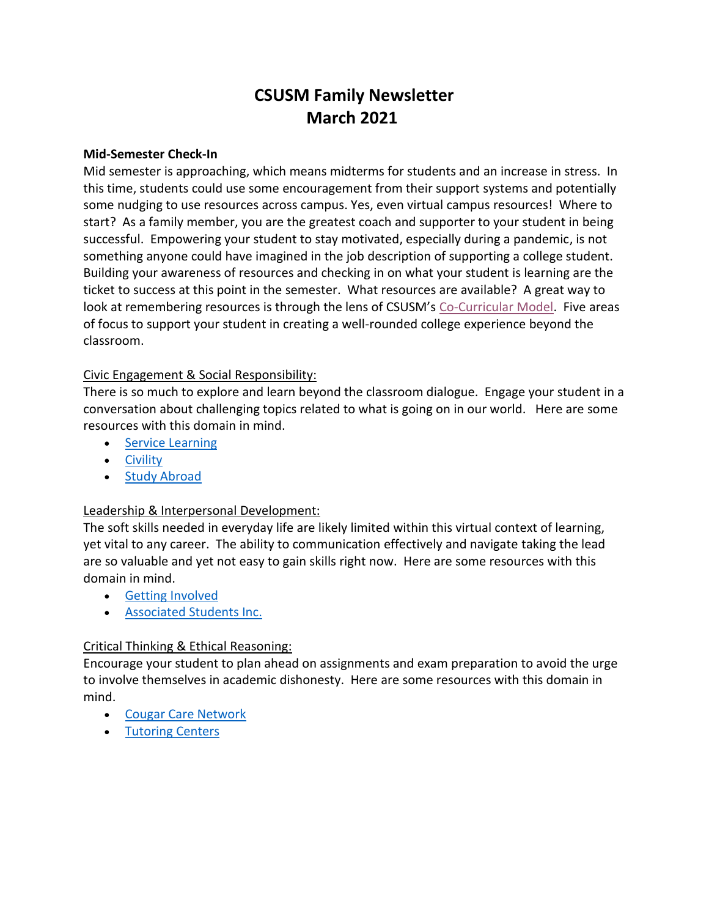# **CSUSM Family Newsletter March 2021**

#### **Mid-Semester Check-In**

Mid semester is approaching, which means midterms for students and an increase in stress. In this time, students could use some encouragement from their support systems and potentially some nudging to use resources across campus. Yes, even virtual campus resources! Where to start? As a family member, you are the greatest coach and supporter to your student in being successful. Empowering your student to stay motivated, especially during a pandemic, is not something anyone could have imagined in the job description of supporting a college student. Building your awareness of resources and checking in on what your student is learning are the ticket to success at this point in the semester. What resources are available? A great way to look at remembering resources is through the lens of CSUSM's [Co-Curricular Model.](https://www.csusm.edu/sa/ccm/index.html) Five areas of focus to support your student in creating a well-rounded college experience beyond the classroom.

#### Civic Engagement & Social Responsibility:

There is so much to explore and learn beyond the classroom dialogue. Engage your student in a conversation about challenging topics related to what is going on in our world. Here are some resources with this domain in mind.

- [Service Learning](https://www.csusm.edu/slce/servicelearning/students/index.html)
- **•** [Civility](https://www.csusm.edu/civility/newsandevents/events.html)
- **[Study Abroad](https://www.csusm.edu/global/studyabroad/index.html)**

#### Leadership & Interpersonal Development:

The soft skills needed in everyday life are likely limited within this virtual context of learning, yet vital to any career. The ability to communication effectively and navigate taking the lead are so valuable and yet not easy to gain skills right now. Here are some resources with this domain in mind.

- [Getting Involved](https://www.csusm.edu/slic/index.html)
- [Associated Students Inc.](https://www.csusm.edu/asi/index.html)

#### Critical Thinking & Ethical Reasoning:

Encourage your student to plan ahead on assignments and exam preparation to avoid the urge to involve themselves in academic dishonesty. Here are some resources with this domain in mind.

- [Cougar Care Network](https://www.csusm.edu/ccn/index.html)
- [Tutoring Centers](https://www.csusm.edu/ougs/lts/index.html)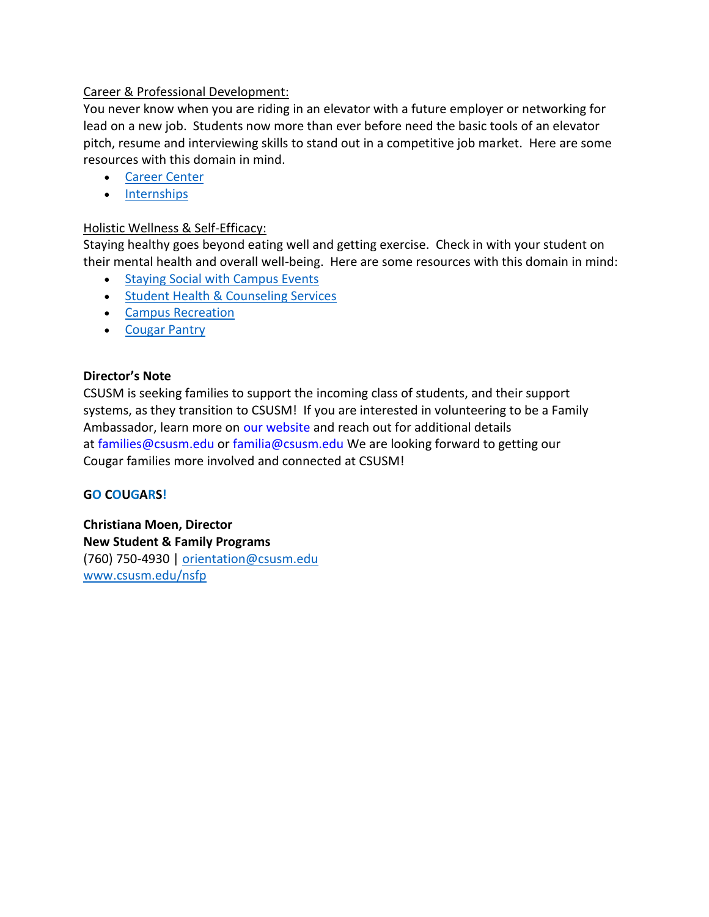# Career & Professional Development:

You never know when you are riding in an elevator with a future employer or networking for lead on a new job. Students now more than ever before need the basic tools of an elevator pitch, resume and interviewing skills to stand out in a competitive job market. Here are some resources with this domain in mind.

- [Career Center](https://www.csusm.edu/careers/)
- [Internships](https://www.csusm.edu/careers/internships/students/index.html)

# Holistic Wellness & Self-Efficacy:

Staying healthy goes beyond eating well and getting exercise. Check in with your student on their mental health and overall well-being. Here are some resources with this domain in mind:

- [Staying Social with Campus Events](https://www.csusm.edu/calendar/stucal.html)
- **[Student Health & Counseling Services](https://www.csusm.edu/shcs/index.html)**
- [Campus Recreation](https://www.csusm.edu/rec/index.html)
- [Cougar Pantry](https://www.csusm.edu/asi/pantry/index.html)

## **Director's Note**

CSUSM is seeking families to support the incoming class of students, and their support systems, as they transition to CSUSM! If you are interested in volunteering to be a Family Ambassador, learn more on [our website](https://www.csusm.edu/families/index.html) and reach out for additional details at [families@csusm.edu](mailto:families@csusm.edu) or [familia@csusm.edu](mailto:familia@csusm.edu) We are looking forward to getting our Cougar families more involved and connected at CSUSM!

#### **GO COUGARS!**

**Christiana Moen, Director New Student & Family Programs** (760) 750-4930 | [orientation@csusm.edu](mailto:orientation@csusm.edu) <www.csusm.edu/nsfp>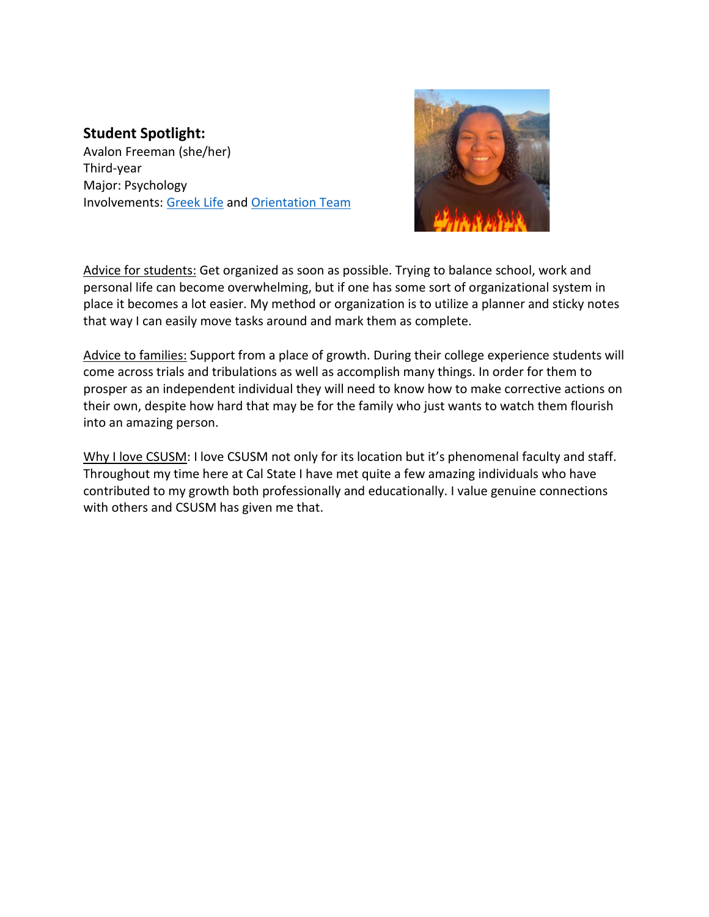# **Student Spotlight:**

Avalon Freeman (she/her) Third-year Major: Psychology Involvements: [Greek Life](https://www.csusm.edu/slic/greek/programs.html) and [Orientation Team](https://www.csusm.edu/nsfp/orientation/oteam/index.html)



Advice for students: Get organized as soon as possible. Trying to balance school, work and personal life can become overwhelming, but if one has some sort of organizational system in place it becomes a lot easier. My method or organization is to utilize a planner and sticky notes that way I can easily move tasks around and mark them as complete.

Advice to families: Support from a place of growth. During their college experience students will come across trials and tribulations as well as accomplish many things. In order for them to prosper as an independent individual they will need to know how to make corrective actions on their own, despite how hard that may be for the family who just wants to watch them flourish into an amazing person.

Why I love CSUSM: I love CSUSM not only for its location but it's phenomenal faculty and staff. Throughout my time here at Cal State I have met quite a few amazing individuals who have contributed to my growth both professionally and educationally. I value genuine connections with others and CSUSM has given me that.